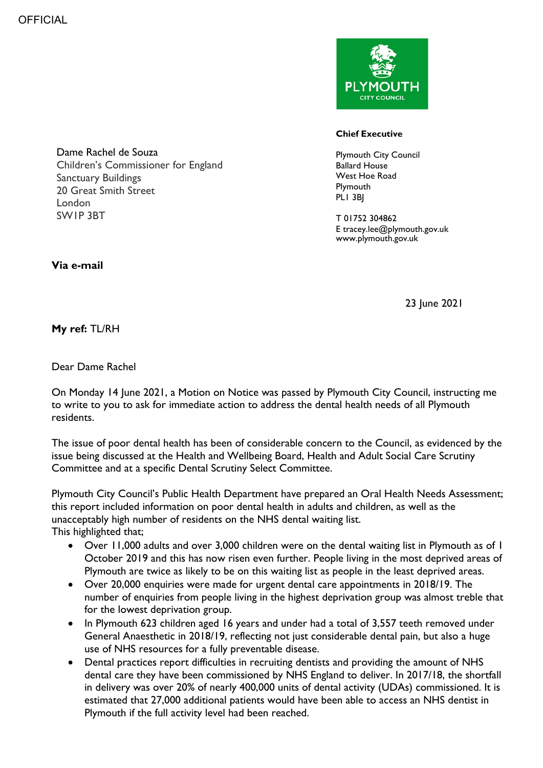

## **Chief Executive**

Plymouth City Council Ballard House West Hoe Road **Plymouth** PLI 3BI

T 01752 304862 E tracey.lee@plymouth.gov.uk www.plymouth.gov.uk

**Via e-mail** 

London SW1P 3BT

Dame Rachel de Souza

Sanctuary Buildings 20 Great Smith Street

Children's Commissioner for England

23 June 2021

## **My ref:** TL/RH

Dear Dame Rachel

On Monday 14 June 2021, a Motion on Notice was passed by Plymouth City Council, instructing me to write to you to ask for immediate action to address the dental health needs of all Plymouth residents.

The issue of poor dental health has been of considerable concern to the Council, as evidenced by the issue being discussed at the Health and Wellbeing Board, Health and Adult Social Care Scrutiny Committee and at a specific Dental Scrutiny Select Committee.

Plymouth City Council's Public Health Department have prepared an Oral Health Needs Assessment; this report included information on poor dental health in adults and children, as well as the unacceptably high number of residents on the NHS dental waiting list. This highlighted that;

- Over 11,000 adults and over 3,000 children were on the dental waiting list in Plymouth as of 1 October 2019 and this has now risen even further. People living in the most deprived areas of Plymouth are twice as likely to be on this waiting list as people in the least deprived areas.
- Over 20,000 enquiries were made for urgent dental care appointments in 2018/19. The number of enquiries from people living in the highest deprivation group was almost treble that for the lowest deprivation group.
- In Plymouth 623 children aged 16 years and under had a total of 3,557 teeth removed under General Anaesthetic in 2018/19, reflecting not just considerable dental pain, but also a huge use of NHS resources for a fully preventable disease.
- Dental practices report difficulties in recruiting dentists and providing the amount of NHS dental care they have been commissioned by NHS England to deliver. In 2017/18, the shortfall in delivery was over 20% of nearly 400,000 units of dental activity (UDAs) commissioned. It is estimated that 27,000 additional patients would have been able to access an NHS dentist in Plymouth if the full activity level had been reached.